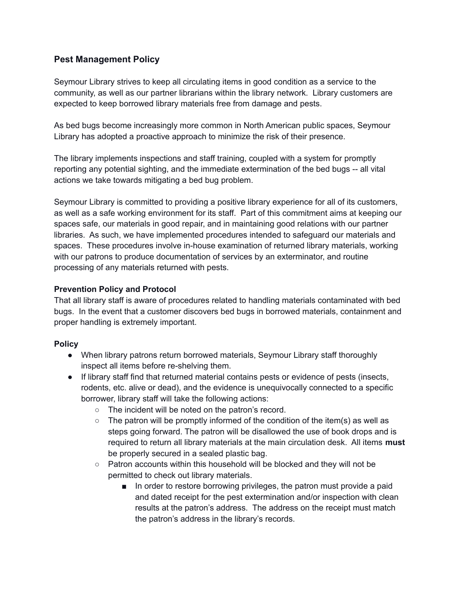## **Pest Management Policy**

Seymour Library strives to keep all circulating items in good condition as a service to the community, as well as our partner librarians within the library network. Library customers are expected to keep borrowed library materials free from damage and pests.

As bed bugs become increasingly more common in North American public spaces, Seymour Library has adopted a proactive approach to minimize the risk of their presence.

The library implements inspections and staff training, coupled with a system for promptly reporting any potential sighting, and the immediate extermination of the bed bugs -- all vital actions we take towards mitigating a bed bug problem.

Seymour Library is committed to providing a positive library experience for all of its customers, as well as a safe working environment for its staff. Part of this commitment aims at keeping our spaces safe, our materials in good repair, and in maintaining good relations with our partner libraries. As such, we have implemented procedures intended to safeguard our materials and spaces. These procedures involve in-house examination of returned library materials, working with our patrons to produce documentation of services by an exterminator, and routine processing of any materials returned with pests.

## **Prevention Policy and Protocol**

That all library staff is aware of procedures related to handling materials contaminated with bed bugs. In the event that a customer discovers bed bugs in borrowed materials, containment and proper handling is extremely important.

## **Policy**

- When library patrons return borrowed materials, Seymour Library staff thoroughly inspect all items before re-shelving them.
- If library staff find that returned material contains pests or evidence of pests (insects, rodents, etc. alive or dead), and the evidence is unequivocally connected to a specific borrower, library staff will take the following actions:
	- The incident will be noted on the patron's record.
	- $\circ$  The patron will be promptly informed of the condition of the item(s) as well as steps going forward. The patron will be disallowed the use of book drops and is required to return all library materials at the main circulation desk. All items **must** be properly secured in a sealed plastic bag.
	- $\circ$  Patron accounts within this household will be blocked and they will not be permitted to check out library materials.
		- In order to restore borrowing privileges, the patron must provide a paid and dated receipt for the pest extermination and/or inspection with clean results at the patron's address. The address on the receipt must match the patron's address in the library's records.